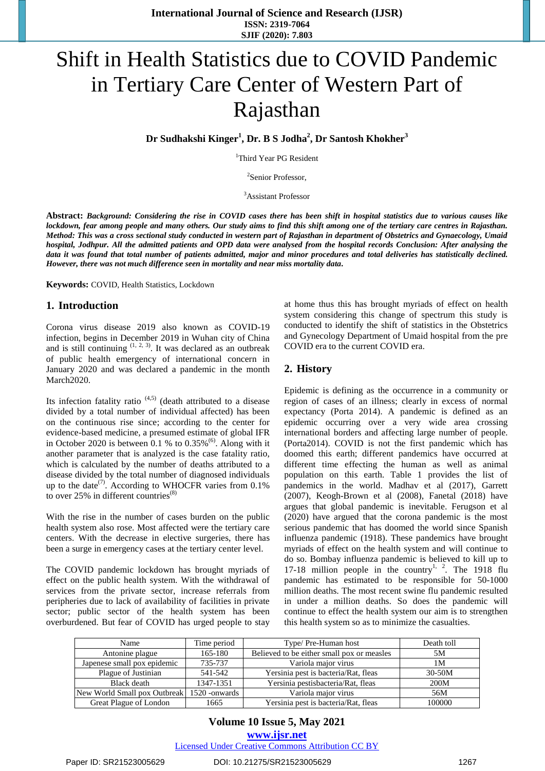# Shift in Health Statistics due to COVID Pandemic in Tertiary Care Center of Western Part of Rajasthan

**Dr Sudhakshi Kinger<sup>1</sup> , Dr. B S Jodha<sup>2</sup> , Dr Santosh Khokher<sup>3</sup>**

<sup>1</sup>Third Year PG Resident

2 Senior Professor,

<sup>3</sup>Assistant Professor

**Abstract:** *Background: Considering the rise in COVID cases there has been shift in hospital statistics due to various causes like lockdown, fear among people and many others. Our study aims to find this shift among one of the tertiary care centres in Rajasthan. Method: This was a cross sectional study conducted in western part of Rajasthan in department of Obstetrics and Gynaecology, Umaid hospital, Jodhpur. All the admitted patients and OPD data were analysed from the hospital records Conclusion: After analysing the data it was found that total number of patients admitted, major and minor procedures and total deliveries has statistically declined. However, there was not much difference seen in mortality and near miss mortality data.*

**Keywords:** COVID, Health Statistics, Lockdown

#### **1. Introduction**

Corona virus disease 2019 also known as COVID-19 infection, begins in December 2019 in Wuhan city of China and is still continuing  $(1, 2, 3)$ . It was declared as an outbreak of public health emergency of international concern in January 2020 and was declared a pandemic in the month March2020.

Its infection fatality ratio  $(4,5)$  (death attributed to a disease divided by a total number of individual affected) has been on the continuous rise since; according to the center for evidence-based medicine, a presumed estimate of global IFR in October 2020 is between 0.1 % to  $0.35\%$ <sup>(6)</sup>. Along with it another parameter that is analyzed is the case fatality ratio, which is calculated by the number of deaths attributed to a disease divided by the total number of diagnosed individuals up to the date<sup>(7)</sup>. According to WHOCFR varies from  $0.1\%$ to over  $25\%$  in different countries<sup>(8)</sup>

With the rise in the number of cases burden on the public health system also rose. Most affected were the tertiary care centers. With the decrease in elective surgeries, there has been a surge in emergency cases at the tertiary center level.

The COVID pandemic lockdown has brought myriads of effect on the public health system. With the withdrawal of services from the private sector, increase referrals from peripheries due to lack of availability of facilities in private sector; public sector of the health system has been overburdened. But fear of COVID has urged people to stay

at home thus this has brought myriads of effect on health system considering this change of spectrum this study is conducted to identify the shift of statistics in the Obstetrics and Gynecology Department of Umaid hospital from the pre COVID era to the current COVID era.

#### **2. History**

Epidemic is defining as the occurrence in a community or region of cases of an illness; clearly in excess of normal expectancy (Porta 2014). A pandemic is defined as an epidemic occurring over a very wide area crossing international borders and affecting large number of people. (Porta2014). COVID is not the first pandemic which has doomed this earth; different pandemics have occurred at different time effecting the human as well as animal population on this earth. Table 1 provides the list of pandemics in the world. Madhav et al (2017), Garrett (2007), Keogh-Brown et al (2008), Fanetal (2018) have argues that global pandemic is inevitable. Ferugson et al (2020) have argued that the corona pandemic is the most serious pandemic that has doomed the world since Spanish influenza pandemic (1918). These pandemics have brought myriads of effect on the health system and will continue to do so. Bombay influenza pandemic is believed to kill up to 17-18 million people in the country<sup>1, 2</sup>. The 1918 flu pandemic has estimated to be responsible for 50-1000 million deaths. The most recent swine flu pandemic resulted in under a million deaths. So does the pandemic will continue to effect the health system our aim is to strengthen this health system so as to minimize the casualties.

| Name                                        | Time period | Type/ Pre-Human host                       | Death toll |
|---------------------------------------------|-------------|--------------------------------------------|------------|
| Antonine plague                             | 165-180     | Believed to be either small pox or measles | 5M         |
| Japenese small pox epidemic                 | 735-737     | Variola maior virus                        | 1М         |
| Plague of Justinian                         | 541-542     | Yersinia pest is bacteria/Rat, fleas       | $30-50M$   |
| Black death                                 | 1347-1351   | Yersinia pestisbacteria/Rat, fleas         | 200M       |
| New World Small pox Outbreak 1520 - onwards |             | Variola maior virus                        | 56M        |
| Great Plague of London                      | 1665        | Yersinia pest is bacteria/Rat, fleas       | 100000     |

### **Volume 10 Issue 5, May 2021 www.ijsr.net** Licensed Under Creative Commons Attribution CC BY

#### Paper ID: SR21523005629 DOI: 10.21275/SR21523005629 1267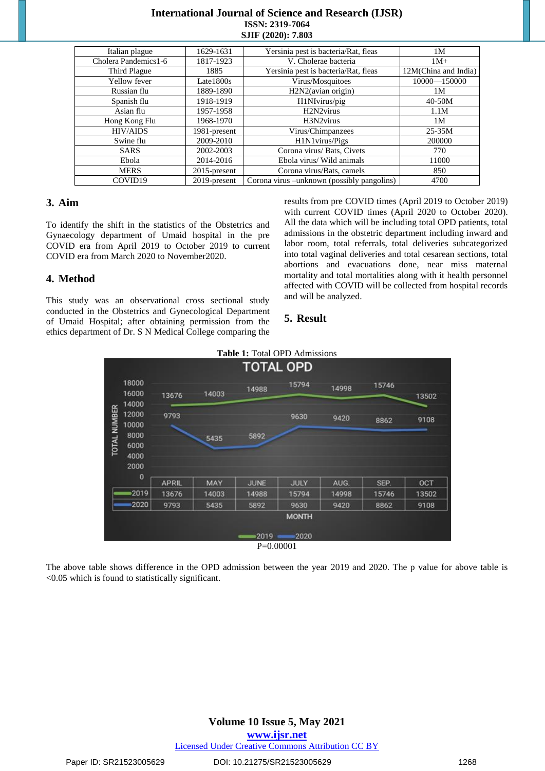## **International Journal of Science and Research (IJSR) ISSN: 2319-7064 SJIF (2020): 7.803**

| Italian plague       | 1629-1631          | Yersinia pest is bacteria/Rat, fleas        | 1M                   |
|----------------------|--------------------|---------------------------------------------|----------------------|
| Cholera Pandemics1-6 | 1817-1923          | V. Cholerae bacteria                        | $1M+$                |
| Third Plague         | 1885               | Yersinia pest is bacteria/Rat, fleas        | 12M(China and India) |
| Yellow fever         | $\text{Late}1800s$ | Virus/Mosquitoes                            | 10000-150000         |
| Russian flu          | 1889-1890          | H2N2(avian origin)                          | 1M                   |
| Spanish flu          | 1918-1919          | H1NIvirus/pig                               | $40-50M$             |
| Asian flu            | 1957-1958          | H <sub>2</sub> N <sub>2</sub> virus         | 1.1M                 |
| Hong Kong Flu        | 1968-1970          | H3N2virus                                   | 1M                   |
| <b>HIV/AIDS</b>      | 1981-present       | Virus/Chimpanzees                           | $25 - 35M$           |
| Swine flu            | 2009-2010          | H1N1virus/Pigs                              | 200000               |
| <b>SARS</b>          | 2002-2003          | Corona virus/ Bats, Civets                  | 770                  |
| Ebola                | 2014-2016          | Ebola virus/ Wild animals                   | 11000                |
| <b>MERS</b>          | $2015$ -present    | Corona virus/Bats, camels                   | 850                  |
| COVID19              | 2019-present       | Corona virus – unknown (possibly pangolins) | 4700                 |

## **3. Aim**

To identify the shift in the statistics of the Obstetrics and Gynaecology department of Umaid hospital in the pre COVID era from April 2019 to October 2019 to current COVID era from March 2020 to November2020.

# **4. Method**

This study was an observational cross sectional study conducted in the Obstetrics and Gynecological Department of Umaid Hospital; after obtaining permission from the ethics department of Dr. S N Medical College comparing the results from pre COVID times (April 2019 to October 2019) with current COVID times (April 2020 to October 2020). All the data which will be including total OPD patients, total admissions in the obstetric department including inward and labor room, total referrals, total deliveries subcategorized into total vaginal deliveries and total cesarean sections, total abortions and evacuations done, near miss maternal mortality and total mortalities along with it health personnel affected with COVID will be collected from hospital records and will be analyzed.

### **5. Result**



The above table shows difference in the OPD admission between the year 2019 and 2020. The p value for above table is <0.05 which is found to statistically significant.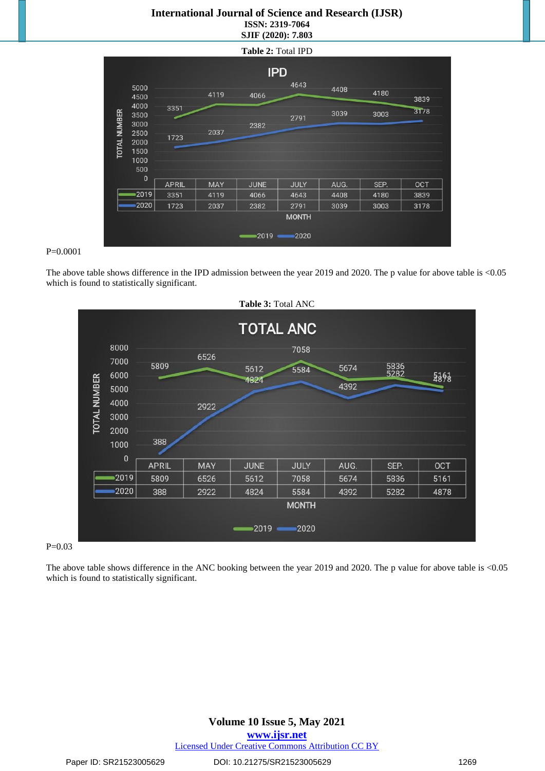## **International Journal of Science and Research (IJSR) ISSN: 2319-7064 SJIF (2020): 7.803**



#### P=0.0001

The above table shows difference in the IPD admission between the year 2019 and 2020. The p value for above table is <0.05 which is found to statistically significant.



#### P=0.03

The above table shows difference in the ANC booking between the year 2019 and 2020. The p value for above table is <0.05 which is found to statistically significant.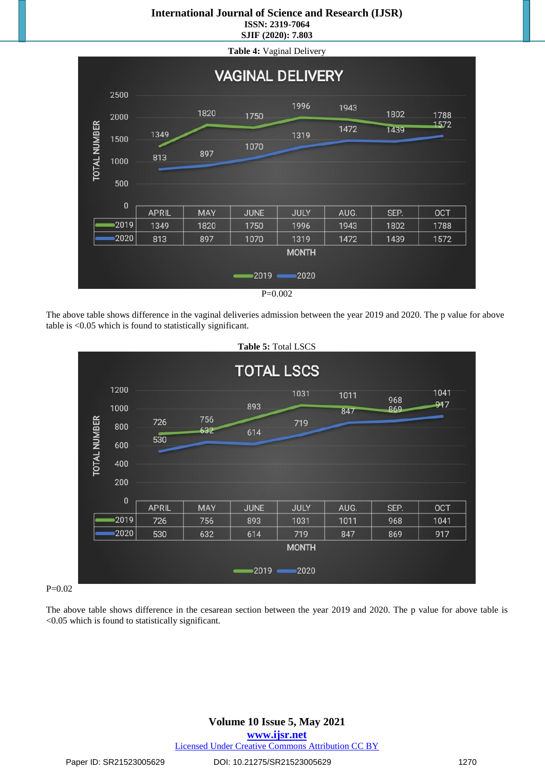## **International Journal of Science and Research (IJSR) ISSN: 2319-7064**

**SJIF (2020): 7.803**



The above table shows difference in the vaginal deliveries admission between the year 2019 and 2020. The p value for above table is <0.05 which is found to statistically significant.



#### $P=0.02$

The above table shows difference in the cesarean section between the year 2019 and 2020. The p value for above table is <0.05 which is found to statistically significant*.*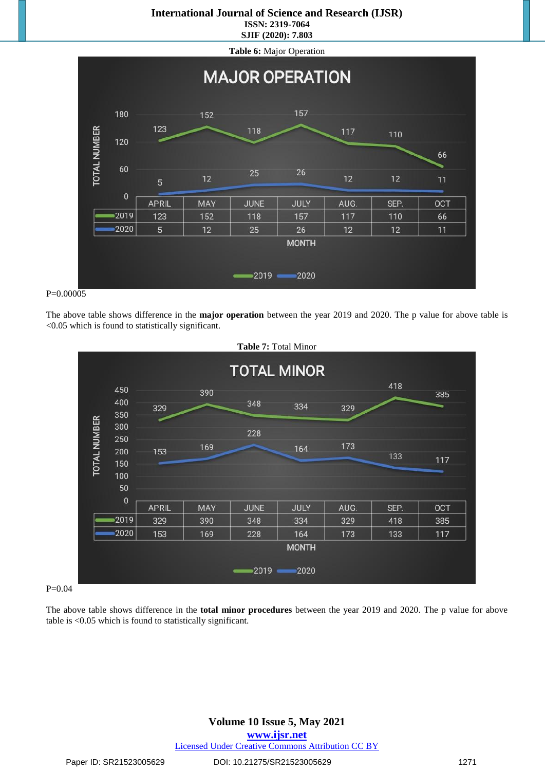## **International Journal of Science and Research (IJSR) ISSN: 2319-7064**

**SJIF (2020): 7.803**



#### P=0.00005

The above table shows difference in the **major operation** between the year 2019 and 2020. The p value for above table is <0.05 which is found to statistically significant.



#### $P=0.04$

The above table shows difference in the **total minor procedures** between the year 2019 and 2020. The p value for above table is <0.05 which is found to statistically significant.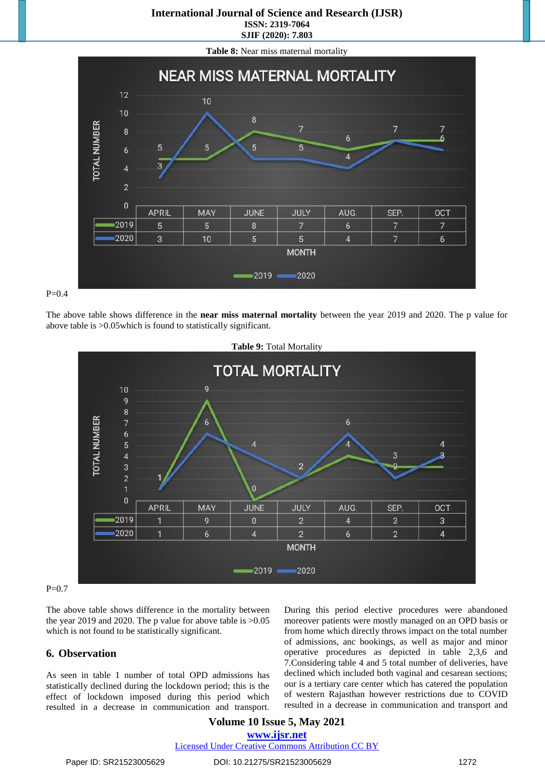# **International Journal of Science and Research (IJSR) ISSN: 2319-7064**

**SJIF (2020): 7.803**







The above table shows difference in the **near miss maternal mortality** between the year 2019 and 2020. The p value for above table is >0.05which is found to statistically significant.



#### $P=0.7$

The above table shows difference in the mortality between the year 2019 and 2020. The p value for above table is >0.05 which is not found to be statistically significant.

#### **6. Observation**

As seen in table 1 number of total OPD admissions has statistically declined during the lockdown period; this is the effect of lockdown imposed during this period which resulted in a decrease in communication and transport. During this period elective procedures were abandoned moreover patients were mostly managed on an OPD basis or from home which directly throws impact on the total number of admissions, anc bookings, as well as major and minor operative procedures as depicted in table 2,3,6 and 7.Considering table 4 and 5 total number of deliveries, have declined which included both vaginal and cesarean sections; our is a tertiary care center which has catered the population of western Rajasthan however restrictions due to COVID resulted in a decrease in communication and transport and